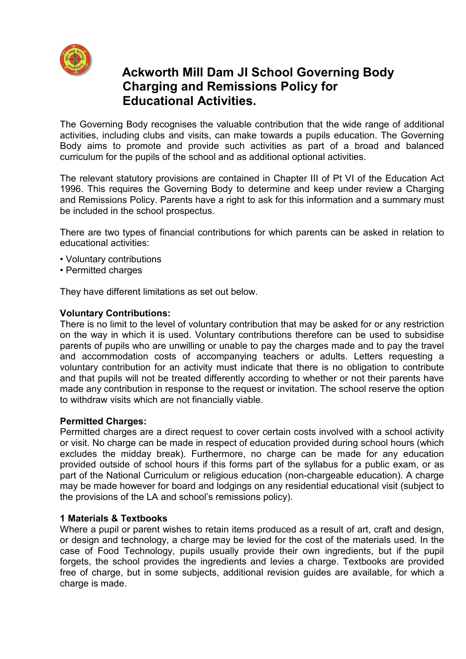

# **Ackworth Mill Dam JI School Governing Body Charging and Remissions Policy for Educational Activities.**

The Governing Body recognises the valuable contribution that the wide range of additional activities, including clubs and visits, can make towards a pupils education. The Governing Body aims to promote and provide such activities as part of a broad and balanced curriculum for the pupils of the school and as additional optional activities.

The relevant statutory provisions are contained in Chapter III of Pt VI of the Education Act 1996. This requires the Governing Body to determine and keep under review a Charging and Remissions Policy. Parents have a right to ask for this information and a summary must be included in the school prospectus.

There are two types of financial contributions for which parents can be asked in relation to educational activities:

- Voluntary contributions
- Permitted charges

They have different limitations as set out below.

#### **Voluntary Contributions:**

There is no limit to the level of voluntary contribution that may be asked for or any restriction on the way in which it is used. Voluntary contributions therefore can be used to subsidise parents of pupils who are unwilling or unable to pay the charges made and to pay the travel and accommodation costs of accompanying teachers or adults. Letters requesting a voluntary contribution for an activity must indicate that there is no obligation to contribute and that pupils will not be treated differently according to whether or not their parents have made any contribution in response to the request or invitation. The school reserve the option to withdraw visits which are not financially viable.

#### **Permitted Charges:**

Permitted charges are a direct request to cover certain costs involved with a school activity or visit. No charge can be made in respect of education provided during school hours (which excludes the midday break). Furthermore, no charge can be made for any education provided outside of school hours if this forms part of the syllabus for a public exam, or as part of the National Curriculum or religious education (non-chargeable education). A charge may be made however for board and lodgings on any residential educational visit (subject to the provisions of the LA and school's remissions policy).

## **1 Materials & Textbooks**

Where a pupil or parent wishes to retain items produced as a result of art, craft and design, or design and technology, a charge may be levied for the cost of the materials used. In the case of Food Technology, pupils usually provide their own ingredients, but if the pupil forgets, the school provides the ingredients and levies a charge. Textbooks are provided free of charge, but in some subjects, additional revision guides are available, for which a charge is made.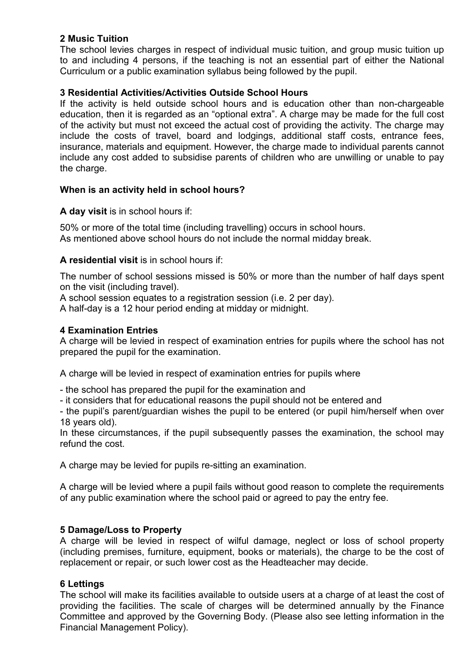# **2 Music Tuition**

The school levies charges in respect of individual music tuition, and group music tuition up to and including 4 persons, if the teaching is not an essential part of either the National Curriculum or a public examination syllabus being followed by the pupil.

## **3 Residential Activities/Activities Outside School Hours**

If the activity is held outside school hours and is education other than non-chargeable education, then it is regarded as an "optional extra". A charge may be made for the full cost of the activity but must not exceed the actual cost of providing the activity. The charge may include the costs of travel, board and lodgings, additional staff costs, entrance fees, insurance, materials and equipment. However, the charge made to individual parents cannot include any cost added to subsidise parents of children who are unwilling or unable to pay the charge.

## **When is an activity held in school hours?**

**A day visit** is in school hours if:

50% or more of the total time (including travelling) occurs in school hours. As mentioned above school hours do not include the normal midday break.

# **A residential visit** is in school hours if:

The number of school sessions missed is 50% or more than the number of half days spent on the visit (including travel).

A school session equates to a registration session (i.e. 2 per day).

A half-day is a 12 hour period ending at midday or midnight.

## **4 Examination Entries**

A charge will be levied in respect of examination entries for pupils where the school has not prepared the pupil for the examination.

A charge will be levied in respect of examination entries for pupils where

- the school has prepared the pupil for the examination and

- it considers that for educational reasons the pupil should not be entered and

- the pupil's parent/guardian wishes the pupil to be entered (or pupil him/herself when over 18 years old).

In these circumstances, if the pupil subsequently passes the examination, the school may refund the cost.

A charge may be levied for pupils re-sitting an examination.

A charge will be levied where a pupil fails without good reason to complete the requirements of any public examination where the school paid or agreed to pay the entry fee.

## **5 Damage/Loss to Property**

A charge will be levied in respect of wilful damage, neglect or loss of school property (including premises, furniture, equipment, books or materials), the charge to be the cost of replacement or repair, or such lower cost as the Headteacher may decide.

## **6 Lettings**

The school will make its facilities available to outside users at a charge of at least the cost of providing the facilities. The scale of charges will be determined annually by the Finance Committee and approved by the Governing Body. (Please also see letting information in the Financial Management Policy).